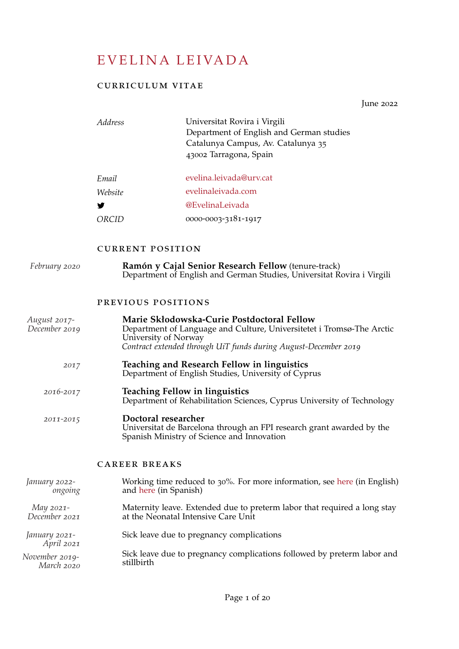# EVELINA LEIVADA

### curriculum vitae

June 2022

| <i>Address</i> | Universitat Rovira i Virgili<br>Department of English and German studies<br>Catalunya Campus, Av. Catalunya 35<br>43002 Tarragona, Spain |
|----------------|------------------------------------------------------------------------------------------------------------------------------------------|
| Email          | evelina.leivada@urv.cat                                                                                                                  |
| Website        | evelinaleivada.com                                                                                                                       |
|                | @EvelinaLeivada                                                                                                                          |
|                | 0000-0003-3181-1917                                                                                                                      |

### current position

| February 2020                 | Ramón y Cajal Senior Research Fellow (tenure-track)<br>Department of English and German Studies, Universitat Rovira i Virgili                                                                                  |
|-------------------------------|----------------------------------------------------------------------------------------------------------------------------------------------------------------------------------------------------------------|
|                               | PREVIOUS POSITIONS                                                                                                                                                                                             |
| August 2017-<br>December 2019 | Marie Skłodowska-Curie Postdoctoral Fellow<br>Department of Language and Culture, Universitetet i Tromsø-The Arctic<br>University of Norway<br>Contract extended through UiT funds during August-December 2019 |
| 2017                          | <b>Teaching and Research Fellow in linguistics</b><br>Department of English Studies, University of Cyprus                                                                                                      |
| 2016-2017                     | <b>Teaching Fellow in linguistics</b><br>Department of Rehabilitation Sciences, Cyprus University of Technology                                                                                                |
| 2011-2015                     | Doctoral researcher<br>Universitat de Barcelona through an FPI research grant awarded by the<br>Spanish Ministry of Science and Innovation                                                                     |
|                               | <b>CAREER BREAKS</b>                                                                                                                                                                                           |
| January 2022-<br>ongoing      | Working time reduced to 30%. For more information, see here (in English)<br>and here (in Spanish)                                                                                                              |
| May 2021-<br>December 2021    | Maternity leave. Extended due to preterm labor that required a long stay<br>at the Neonatal Intensive Care Unit                                                                                                |
| January 2021-<br>April 2021   | Sick leave due to pregnancy complications                                                                                                                                                                      |
| November 2019-<br>March 2020  | Sick leave due to pregnancy complications followed by preterm labor and<br>stillbirth                                                                                                                          |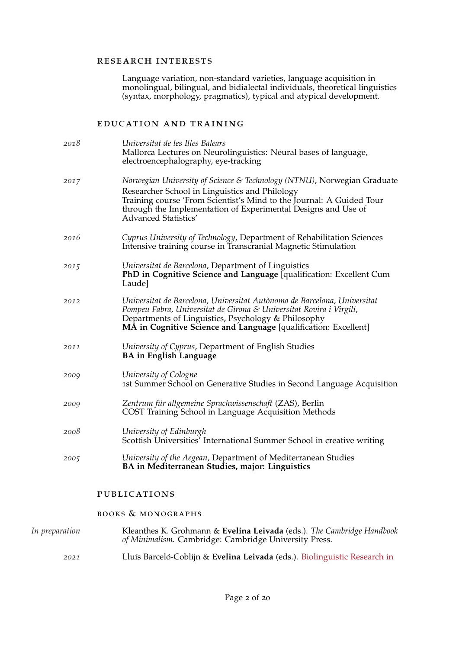#### research interests

Language variation, non-standard varieties, language acquisition in monolingual, bilingual, and bidialectal individuals, theoretical linguistics (syntax, morphology, pragmatics), typical and atypical development.

### education and training

| 2018 | Universitat de les Illes Balears<br>Mallorca Lectures on Neurolinguistics: Neural bases of language,<br>electroencephalography, eye-tracking                                                                                                                                               |
|------|--------------------------------------------------------------------------------------------------------------------------------------------------------------------------------------------------------------------------------------------------------------------------------------------|
| 2017 | Norwegian University of Science & Technology (NTNU), Norwegian Graduate<br>Researcher School in Linguistics and Philology<br>Training course 'From Scientist's Mind to the Journal: A Guided Tour<br>through the Implementation of Experimental Designs and Use of<br>Advanced Statistics' |
| 2016 | Cyprus University of Technology, Department of Rehabilitation Sciences<br>Intensive training course in Transcranial Magnetic Stimulation                                                                                                                                                   |
| 2015 | Universitat de Barcelona, Department of Linguistics<br>PhD in Cognitive Science and Language [qualification: Excellent Cum<br>Laude]                                                                                                                                                       |
| 2012 | Universitat de Barcelona, Universitat Autònoma de Barcelona, Universitat<br>Pompeu Fabra, Universitat de Girona & Universitat Rovira i Virgili,<br>Departments of Linguistics, Psychology & Philosophy<br>MA in Cognitive Science and Language [qualification: Excellent]                  |
| 2011 | University of Cyprus, Department of English Studies<br><b>BA</b> in English Language                                                                                                                                                                                                       |
| 2009 | University of Cologne<br>1st Summer School on Generative Studies in Second Language Acquisition                                                                                                                                                                                            |
| 2009 | Zentrum für allgemeine Sprachwissenschaft (ZAS), Berlin<br>COST Training School in Language Acquisition Methods                                                                                                                                                                            |
| 2008 | University of Edinburgh<br>Scottish Universities <sup>7</sup> International Summer School in creative writing                                                                                                                                                                              |
| 2005 | University of the Aegean, Department of Mediterranean Studies<br>BA in Mediterranean Studies, major: Linguistics                                                                                                                                                                           |
|      |                                                                                                                                                                                                                                                                                            |

### publications

### books & monographs

| In preparation | Kleanthes K. Grohmann & Evelina Leivada (eds.). The Cambridge Handbook<br>of Minimalism. Cambridge: Cambridge University Press. |
|----------------|---------------------------------------------------------------------------------------------------------------------------------|
| 2021           | Lluís Barceló-Coblijn & Evelina Leivada (eds.). Biolinguistic Research in                                                       |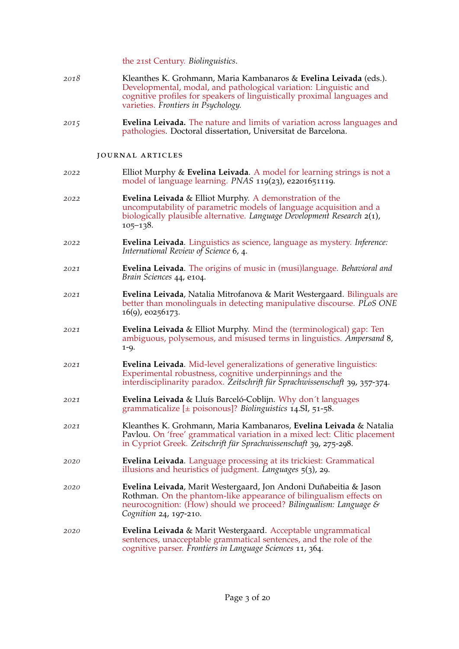| the 21st Century. Biolinguistics. |  |
|-----------------------------------|--|
|-----------------------------------|--|

- *2018* Kleanthes K. Grohmann, Maria Kambanaros & **Evelina Leivada** (eds.). [Developmental, modal, and pathological variation: Linguistic and](http://journal.frontiersin.org/researchtopic/5240/developmental-modal-and-pathological-variation-linguistic-and-cognitive-profiles-for-speakers-of-lin) [cognitive profiles for speakers of linguistically proximal languages and](http://journal.frontiersin.org/researchtopic/5240/developmental-modal-and-pathological-variation-linguistic-and-cognitive-profiles-for-speakers-of-lin) [varieties.](http://journal.frontiersin.org/researchtopic/5240/developmental-modal-and-pathological-variation-linguistic-and-cognitive-profiles-for-speakers-of-lin) *Frontiers in Psychology.*
- *2015* **Evelina Leivada.** [The nature and limits of variation across languages and](https://bit.ly/2t2z8Vq) [pathologies.](https://bit.ly/2t2z8Vq) Doctoral dissertation, Universitat de Barcelona.

### journal articles

| 2022 | Elliot Murphy & Evelina Leivada. A model for learning strings is not a<br>model of language learning. PNAS 119(23), e2201651119.                                                                                                       |
|------|----------------------------------------------------------------------------------------------------------------------------------------------------------------------------------------------------------------------------------------|
| 2022 | <b>Evelina Leivada &amp; Elliot Murphy. A demonstration of the</b><br>uncomputability of parametric models of language acquisition and a<br>biologically plausible alternative. Language Development Research 2(1),<br>$105 - 138.$    |
| 2022 | Evelina Leivada. Linguistics as science, language as mystery. Inference:<br>International Review of Science 6, 4.                                                                                                                      |
| 2021 | Evelina Leivada. The origins of music in (musi)language. Behavioral and<br>Brain Sciences 44, e104.                                                                                                                                    |
| 2021 | Evelina Leivada, Natalia Mitrofanova & Marit Westergaard. Bilinguals are<br>better than monolinguals in detecting manipulative discourse. PLoS ONE<br>16(9), e0256173.                                                                 |
| 2021 | Evelina Leivada & Elliot Murphy. Mind the (terminological) gap: Ten<br>ambiguous, polysemous, and misused terms in linguistics. Ampersand 8,<br>$1 - 9.$                                                                               |
| 2021 | <b>Evelina Leivada.</b> Mid-level generalizations of generative linguistics:<br>Experimental robustness, cognitive underpinnings and the<br>interdisciplinarity paradox. Zeitschrift für Sprachwissenschaft 39, 357-374.               |
| 2021 | Evelina Leivada & Lluís Barceló-Coblijn. Why don't languages<br>grammaticalize $[\pm$ poisonous]? Biolinguistics 14.SI, 51-58.                                                                                                         |
| 2021 | Kleanthes K. Grohmann, Maria Kambanaros, Evelina Leivada & Natalia<br>Pavlou. On 'free' grammatical variation in a mixed lect: Clitic placement<br>in Cypriot Greek. Zeitschrift für Sprachwissenschaft 39, 275-298.                   |
| 2020 | Evelina Leivada. Language processing at its trickiest: Grammatical<br>illusions and heuristics of judgment. Languages 5(3), 29.                                                                                                        |
| 2020 | Evelina Leivada, Marit Westergaard, Jon Andoni Duñabeitia & Jason<br>Rothman. On the phantom-like appearance of bilingualism effects on<br>neurocognition: (How) should we proceed? Bilingualism: Language &<br>Cognition 24, 197-210. |
| 2020 | Evelina Leivada & Marit Westergaard. Acceptable ungrammatical<br>sentences, unacceptable grammatical sentences, and the role of the<br>cognitive parser. Frontiers in Language Sciences 11, 364.                                       |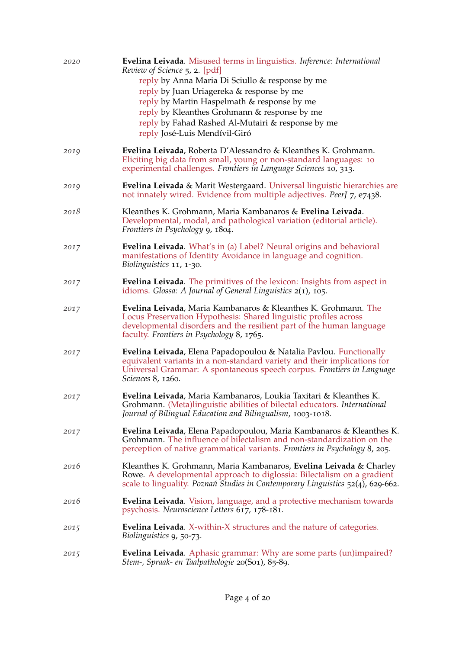| 2020 | Evelina Leivada. Misused terms in linguistics. Inference: International<br>Review of Science 5, 2. [pdf]<br>reply by Anna Maria Di Sciullo & response by me<br>reply by Juan Uriagereka & response by me<br>reply by Martin Haspelmath & response by me<br>reply by Kleanthes Grohmann & response by me<br>reply by Fahad Rashed Al-Mutairi & response by me<br>reply José-Luis Mendívil-Giró |
|------|-----------------------------------------------------------------------------------------------------------------------------------------------------------------------------------------------------------------------------------------------------------------------------------------------------------------------------------------------------------------------------------------------|
| 2019 | Evelina Leivada, Roberta D'Alessandro & Kleanthes K. Grohmann.<br>Eliciting big data from small, young or non-standard languages: 10<br>experimental challenges. Frontiers in Language Sciences 10, 313.                                                                                                                                                                                      |
| 2019 | Evelina Leivada & Marit Westergaard. Universal linguistic hierarchies are<br>not innately wired. Evidence from multiple adjectives. PeerJ 7, e7438.                                                                                                                                                                                                                                           |
| 2018 | Kleanthes K. Grohmann, Maria Kambanaros & Evelina Leivada.<br>Developmental, modal, and pathological variation (editorial article).<br>Frontiers in Psychology 9, 1804.                                                                                                                                                                                                                       |
| 2017 | Evelina Leivada. What's in (a) Label? Neural origins and behavioral<br>manifestations of Identity Avoidance in language and cognition.<br>Biolinguistics 11, 1-30.                                                                                                                                                                                                                            |
| 2017 | <b>Evelina Leivada.</b> The primitives of the lexicon: Insights from aspect in<br>idioms. Glossa: A Journal of General Linguistics $2(1)$ , 105.                                                                                                                                                                                                                                              |
| 2017 | Evelina Leivada, Maria Kambanaros & Kleanthes K. Grohmann. The<br>Locus Preservation Hypothesis: Shared linguistic profiles across<br>developmental disorders and the resilient part of the human language<br>faculty. Frontiers in Psychology 8, 1765.                                                                                                                                       |
| 2017 | Evelina Leivada, Elena Papadopoulou & Natalia Pavlou. Functionally<br>equivalent variants in a non-standard variety and their implications for<br>Universal Grammar: A spontaneous speech corpus. Frontiers in Language<br>Sciences 8, 1260.                                                                                                                                                  |
| 2017 | Evelina Leivada, Maria Kambanaros, Loukia Taxitari & Kleanthes K.<br>Grohmann. (Meta)linguistic abilities of bilectal educators. International<br>Journal of Bilingual Education and Bilingualism, 1003-1018.                                                                                                                                                                                 |
| 2017 | Evelina Leivada, Elena Papadopoulou, Maria Kambanaros & Kleanthes K.<br>Grohmann. The influence of bilectalism and non-standardization on the<br>perception of native grammatical variants. Frontiers in Psychology 8, 205.                                                                                                                                                                   |
| 2016 | Kleanthes K. Grohmann, Maria Kambanaros, Evelina Leivada & Charley<br>Rowe. A developmental approach to diglossia: Bilectalism on a gradient<br>scale to linguality. <i>Poznań Studies in Contemporary Linguistics</i> $52(4)$ , 629-662.                                                                                                                                                     |
| 2016 | <b>Evelina Leivada</b> . Vision, language, and a protective mechanism towards<br>psychosis. Neuroscience Letters 617, 178-181.                                                                                                                                                                                                                                                                |
| 2015 | <b>Evelina Leivada.</b> X-within-X structures and the nature of categories.<br>Biolinguistics 9, 50-73.                                                                                                                                                                                                                                                                                       |
| 2015 | <b>Evelina Leivada.</b> Aphasic grammar: Why are some parts (un)impaired?<br>Stem-, Spraak- en Taalpathologie 20(S01), 85-89.                                                                                                                                                                                                                                                                 |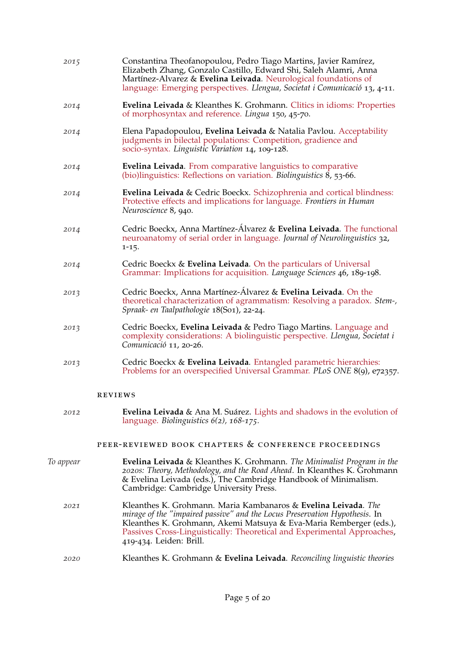| 2015 | Constantina Theofanopoulou, Pedro Tiago Martins, Javier Ramírez,<br>Elizabeth Zhang, Gonzalo Castillo, Edward Shi, Saleh Alamri, Anna<br>Martínez-Alvarez & Evelina Leivada. Neurological foundations of<br>language: Emerging perspectives. Llengua, Societat i Comunicació 13, 4-11. |
|------|----------------------------------------------------------------------------------------------------------------------------------------------------------------------------------------------------------------------------------------------------------------------------------------|
| 2014 | Evelina Leivada & Kleanthes K. Grohmann. Clitics in idioms: Properties<br>of morphosyntax and reference. Lingua 150, 45-70.                                                                                                                                                            |
| 2014 | Elena Papadopoulou, Evelina Leivada & Natalia Pavlou. Acceptability<br>judgments in bilectal populations: Competition, gradience and<br>socio-syntax. Linguistic Variation 14, 109-128.                                                                                                |
| 2014 | <b>Evelina Leivada.</b> From comparative languistics to comparative<br>(bio)linguistics: Reflections on variation. Biolinguistics $8, 53-66$ .                                                                                                                                         |
| 2014 | Evelina Leivada & Cedric Boeckx. Schizophrenia and cortical blindness:<br>Protective effects and implications for language. Frontiers in Human<br>Neuroscience 8, 940.                                                                                                                 |
| 2014 | Cedric Boeckx, Anna Martínez-Álvarez & Evelina Leivada. The functional<br>neuroanatomy of serial order in language. Journal of Neurolinguistics 32,<br>$1 - 15.$                                                                                                                       |
| 2014 | Cedric Boeckx & Evelina Leivada. On the particulars of Universal<br>Grammar: Implications for acquisition. Language Sciences 46, 189-198.                                                                                                                                              |
| 2013 | Cedric Boeckx, Anna Martínez-Álvarez & Evelina Leivada. On the<br>theoretical characterization of agrammatism: Resolving a paradox. Stem-,<br>Spraak- en Taalpathologie 18(So1), 22-24.                                                                                                |
| 2013 | Cedric Boeckx, Evelina Leivada & Pedro Tiago Martins. Language and<br>complexity considerations: A biolinguistic perspective. Llengua, Societat i<br>Comunicació 11, 20-26.                                                                                                            |
| 2013 | Cedric Boeckx & Evelina Leivada. Entangled parametric hierarchies:<br>Problems for an overspecified Universal Grammar. PLoS ONE 8(9), e72357.                                                                                                                                          |
|      | <b>REVIEWS</b>                                                                                                                                                                                                                                                                         |
| 2012 | Evelina Leivada & Ana M. Suárez. Lights and shadows in the evolution of<br>language. Biolinguistics $6(2)$ , $168-175$ .                                                                                                                                                               |
|      | PEER-REVIEWED BOOK CHAPTERS & CONFERENCE PROCEEDINGS                                                                                                                                                                                                                                   |

- *To appear* **Evelina Leivada** & Kleanthes K. Grohmann. *The Minimalist Program in the 2020s: Theory, Methodology, and the Road Ahead*. In Kleanthes K. Grohmann & Evelina Leivada (eds.), The Cambridge Handbook of Minimalism. Cambridge: Cambridge University Press.
	- *2021* Kleanthes K. Grohmann. Maria Kambanaros & **Evelina Leivada**. *The mirage of the "impaired passive" and the Locus Preservation Hypothesis*. In Kleanthes K. Grohmann, Akemi Matsuya & Eva-Maria Remberger (eds.), [Passives Cross-Linguistically: Theoretical and Experimental Approaches,](https://brill.com/view/title/57298) 419-434. Leiden: Brill.

### *2020* Kleanthes K. Grohmann & **Evelina Leivada**. *Reconciling linguistic theories*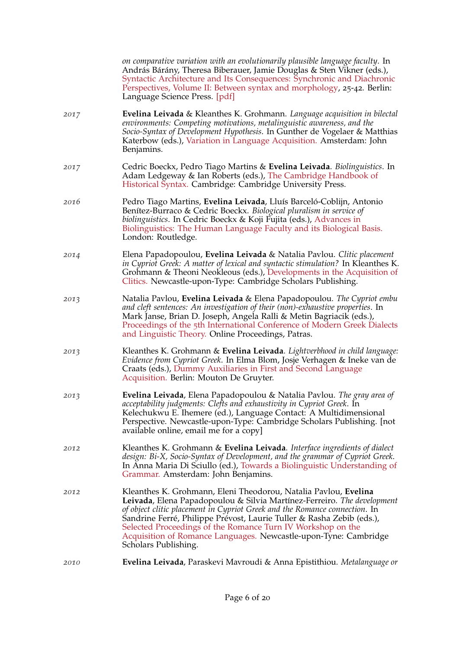|      | on comparative variation with an evolutionarily plausible language faculty. In<br>András Bárány, Theresa Biberauer, Jamie Douglas & Sten Vikner (eds.),<br>Syntactic Architecture and Its Consequences: Synchronic and Diachronic<br>Perspectives, Volume II: Between syntax and morphology, 25-42. Berlin:<br>Language Science Press. [pdf]                                                                                                                 |
|------|--------------------------------------------------------------------------------------------------------------------------------------------------------------------------------------------------------------------------------------------------------------------------------------------------------------------------------------------------------------------------------------------------------------------------------------------------------------|
| 2017 | Evelina Leivada & Kleanthes K. Grohmann. Language acquisition in bilectal<br>environments: Competing motivations, metalinguistic awareness, and the<br>Socio-Syntax of Development Hypothesis. In Gunther de Vogelaer & Matthias<br>Katerbow (eds.), Variation in Language Acquisition. Amsterdam: John<br>Benjamins.                                                                                                                                        |
| 2017 | Cedric Boeckx, Pedro Tiago Martins & Evelina Leivada. Biolinguistics. In<br>Adam Ledgeway & Ian Roberts (eds.), The Cambridge Handbook of<br>Historical Syntax. Cambridge: Cambridge University Press.                                                                                                                                                                                                                                                       |
| 2016 | Pedro Tiago Martins, Evelina Leivada, Lluís Barceló-Coblijn, Antonio<br>Benítez-Burraco & Cedric Boeckx. Biological pluralism in service of<br>biolinguistics. In Cedric Boeckx & Koji Fujita (eds.), Advances in<br>Biolinguistics: The Human Language Faculty and its Biological Basis.<br>London: Routledge.                                                                                                                                              |
| 2014 | Elena Papadopoulou, Evelina Leivada & Natalia Pavlou. Clitic placement<br>in Cypriot Greek: A matter of lexical and syntactic stimulation? In Kleanthes K.<br>Grohmann & Theoni Neokleous (eds.), Developments in the Acquisition of<br>Clitics. Newcastle-upon-Type: Cambridge Scholars Publishing.                                                                                                                                                         |
| 2013 | Natalia Pavlou, Evelina Leivada & Elena Papadopoulou. The Cypriot embu<br>and cleft sentences: An investigation of their (non)-exhaustive properties. In<br>Mark Janse, Brian D. Joseph, Angela Ralli & Metin Bagriacik (eds.),<br>Proceedings of the 5th International Conference of Modern Greek Dialects<br>and Linguistic Theory. Online Proceedings, Patras.                                                                                            |
| 2013 | Kleanthes K. Grohmann & Evelina Leivada. Lightverbhood in child language:<br>Evidence from Cypriot Greek. In Elma Blom, Josje Verhagen & Ineke van de<br>Craats (eds.), Dummy Auxiliaries in First and Second Language<br>Acquisition. Berlin: Mouton De Gruyter.                                                                                                                                                                                            |
| 2013 | <b>Evelina Leivada</b> , Elena Papadopoulou & Natalia Pavlou. The gray area of<br>acceptability judgments: Clefts and exhaustivity in Cypriot Greek. In<br>Kelechukwu E. Ihemere (ed.), Language Contact: A Multidimensional<br>Perspective. Newcastle-upon-Type: Cambridge Scholars Publishing. [not<br>available online, email me for a copy]                                                                                                              |
| 2012 | Kleanthes K. Grohmann & Evelina Leivada. Interface ingredients of dialect<br>design: Bi-X, Socio-Syntax of Development, and the grammar of Cypriot Greek.<br>In Anna Maria Di Sciullo (ed.), Towards a Biolinguistic Understanding of<br>Grammar. Amsterdam: John Benjamins.                                                                                                                                                                                 |
| 2012 | Kleanthes K. Grohmann, Eleni Theodorou, Natalia Pavlou, Evelina<br>Leivada, Elena Papadopoulou & Silvia Martínez-Ferreiro. The development<br>of object clitic placement in Cypriot Greek and the Romance connection. In<br>Sandrine Ferré, Philippe Prévost, Laurie Tuller & Rasha Zebib (eds.),<br>Selected Proceedings of the Romance Turn IV Workshop on the<br>Acquisition of Romance Languages. Newcastle-upon-Tyne: Cambridge<br>Scholars Publishing. |
| 2010 | <b>Evelina Leivada</b> , Paraskevi Mavroudi & Anna Epistithiou. Metalanguage or                                                                                                                                                                                                                                                                                                                                                                              |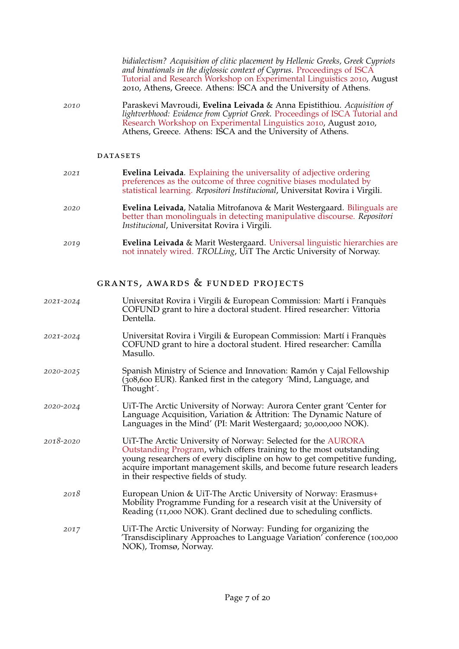*bidialectism? Acquisition of clitic placement by Hellenic Greeks, Greek Cypriots and binationals in the diglossic context of Cyprus*. [Proceedings of ISCA](https://www.isca-speech.org/archive/exling_2010/el10_097.html) [Tutorial and Research Workshop on Experimental Linguistics](https://www.isca-speech.org/archive/exling_2010/el10_097.html) 2010, August 2010, Athens, Greece. Athens: ISCA and the University of Athens.

*2010* Paraskevi Mavroudi, **Evelina Leivada** & Anna Epistithiou. *Acquisition of lightverbhood: Evidence from Cypriot Greek*. [Proceedings of ISCA Tutorial and](https://www.isca-speech.org/archive/exling_2010/papers/el10_113.pdf) [Research Workshop on Experimental Linguistics](https://www.isca-speech.org/archive/exling_2010/papers/el10_113.pdf) 2010, August 2010, Athens, Greece. Athens: ISCA and the University of Athens.

#### **DATASETS**

| 2021 | <b>Evelina Leivada.</b> Explaining the universality of adjective ordering<br>preferences as the outcome of three cognitive biases modulated by<br>statistical learning. Repositori Institucional, Universitat Rovira i Virgili. |
|------|---------------------------------------------------------------------------------------------------------------------------------------------------------------------------------------------------------------------------------|
| 2020 | <b>Evelina Leivada</b> , Natalia Mitrofanova & Marit Westergaard. Bilinguals are<br>better than monolinguals in detecting manipulative discourse. Repositori<br>Institucional, Universitat Rovira i Virgili.                    |
| 2019 | Evelina Leivada & Marit Westergaard. Universal linguistic hierarchies are<br>not innately wired. TROLLing, UiT The Arctic University of Norway.                                                                                 |

grants, awards & funded projects

*2021-2024* Universitat Rovira i Virgili & European Commission: Mart´ı i Franques` COFUND grant to hire a doctoral student. Hired researcher: Vittoria Dentella. *2021-2024* Universitat Rovira i Virgili & European Commission: Mart´ı i Franques` COFUND grant to hire a doctoral student. Hired researcher: Camilla Masullo. *2020-2025* Spanish Ministry of Science and Innovation: Ramon y Cajal Fellowship ´ (308,600 EUR). Ranked first in the category ´Mind, Language, and Thought´. *2020-2024* UiT-The Arctic University of Norway: Aurora Center grant 'Center for Language Acquisition, Variation & Attrition: The Dynamic Nature of Languages in the Mind' (PI: Marit Westergaard; 30,000,000 NOK). *2018-2020* [UiT-The Arctic University of Norway: Selected for the](https://uit.no/nyheter/artikkel?p_document_id=591325&p_dim=88205) [AURORA](https://uit.no/nyheter/artikkel?p_document_id=591325&p_dim=88205) [Outstanding Program,](https://uit.no/nyheter/artikkel?p_document_id=591325&p_dim=88205) which offers training to the most outstanding young researchers of every discipline on how to get competitive funding, acquire important management skills, and become future research leaders in their respective fields of study. *2018* European Union & UiT-The Arctic University of Norway: Erasmus+ Mobility Programme Funding for a research visit at the University of Reading (11,000 NOK). Grant declined due to scheduling conflicts. *2017* UiT-The Arctic University of Norway: Funding for organizing the 'Transdisciplinary Approaches to Language Variation' conference (100,000 NOK), Tromsø, Norway.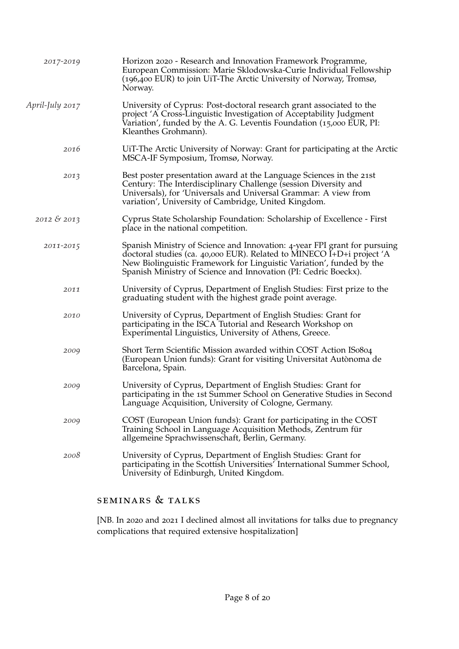| 2017-2019       | Horizon 2020 - Research and Innovation Framework Programme,<br>European Commission: Marie Sklodowska-Curie Individual Fellowship<br>(196,400 EUR) to join UiT-The Arctic University of Norway, Tromsø,<br>Norway.                                                                             |
|-----------------|-----------------------------------------------------------------------------------------------------------------------------------------------------------------------------------------------------------------------------------------------------------------------------------------------|
| April-July 2017 | University of Cyprus: Post-doctoral research grant associated to the<br>project 'A Cross-Linguistic Investigation of Acceptability Judgment<br>Variation', funded by the A. G. Leventis Foundation (15,000 EUR, PI:<br>Kleanthes Grohmann).                                                   |
| 2016            | UIT-The Arctic University of Norway: Grant for participating at the Arctic<br>MSCA-IF Symposium, Tromsø, Norway.                                                                                                                                                                              |
| 2013            | Best poster presentation award at the Language Sciences in the 21st<br>Century: The Interdisciplinary Challenge (session Diversity and<br>Universals), for 'Universals and Universal Grammar: A view from<br>variation', University of Cambridge, United Kingdom.                             |
| $2012 \& 2013$  | Cyprus State Scholarship Foundation: Scholarship of Excellence - First<br>place in the national competition.                                                                                                                                                                                  |
| 2011-2015       | Spanish Ministry of Science and Innovation: 4-year FPI grant for pursuing<br>doctoral studies (ca. 40,000 EUR). Related to MINECO I+D+i project 'A<br>New Biolinguistic Framework for Linguistic Variation', funded by the<br>Spanish Ministry of Science and Innovation (PI: Cedric Boeckx). |
| 2011            | University of Cyprus, Department of English Studies: First prize to the<br>graduating student with the highest grade point average.                                                                                                                                                           |
| 2010            | University of Cyprus, Department of English Studies: Grant for<br>participating in the ISCA Tutorial and Research Workshop on<br>Experimental Linguistics, University of Athens, Greece.                                                                                                      |
| 2009            | Short Term Scientific Mission awarded within COST Action ISo804<br>(European Union funds): Grant for visiting Universitat Autònoma de<br>Barcelona, Spain.                                                                                                                                    |
| 2009            | University of Cyprus, Department of English Studies: Grant for<br>participating in the 1st Summer School on Generative Studies in Second<br>Language Acquisition, University of Cologne, Germany.                                                                                             |
| 2009            | COST (European Union funds): Grant for participating in the COST<br>Training School in Language Acquisition Methods, Zentrum für<br>allgemeine Sprachwissenschaft, Berlin, Germany.                                                                                                           |
| 2008            | University of Cyprus, Department of English Studies: Grant for<br>participating in the Scottish Universities' International Summer School,<br>University of Edinburgh, United Kingdom.                                                                                                        |

## seminars & talks

[NB. In 2020 and 2021 I declined almost all invitations for talks due to pregnancy complications that required extensive hospitalization]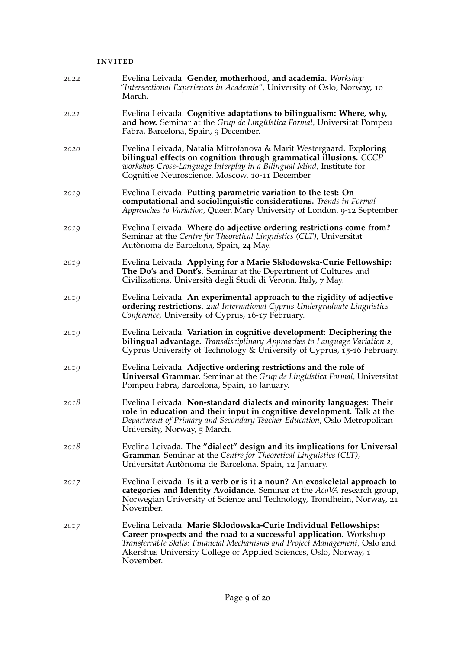#### invited

| 2022 | Evelina Leivada. Gender, motherhood, and academia. Workshop<br>"Intersectional Experiences in Academia", University of Oslo, Norway, 10<br>March.                                                                                                                                                      |
|------|--------------------------------------------------------------------------------------------------------------------------------------------------------------------------------------------------------------------------------------------------------------------------------------------------------|
| 2021 | Evelina Leivada. Cognitive adaptations to bilingualism: Where, why,<br>and how. Seminar at the Grup de Lingüística Formal, Universitat Pompeu<br>Fabra, Barcelona, Spain, 9 December.                                                                                                                  |
| 2020 | Evelina Leivada, Natalia Mitrofanova & Marit Westergaard. Exploring<br>bilingual effects on cognition through grammatical illusions. CCCP<br>workshop Cross-Language Interplay in a Bilingual Mind, Institute for<br>Cognitive Neuroscience, Moscow, 10-11 December.                                   |
| 2019 | Evelina Leivada. Putting parametric variation to the test: On<br>computational and sociolinguistic considerations. Trends in Formal<br>Approaches to Variation, Queen Mary University of London, 9-12 September.                                                                                       |
| 2019 | Evelina Leivada. Where do adjective ordering restrictions come from?<br>Seminar at the Centre for Theoretical Linguistics (CLT), Universitat<br>Autònoma de Barcelona, Spain, 24 May.                                                                                                                  |
| 2019 | Evelina Leivada. Applying for a Marie Skłodowska-Curie Fellowship:<br>The Do's and Dont's. Seminar at the Department of Cultures and<br>Civilizations, Università degli Studi di Verona, Italy, 7 May.                                                                                                 |
| 2019 | Evelina Leivada. An experimental approach to the rigidity of adjective<br>ordering restrictions. 2nd International Cyprus Undergraduate Linguistics<br>Conference, University of Cyprus, 16-17 February.                                                                                               |
| 2019 | Evelina Leivada. Variation in cognitive development: Deciphering the<br>bilingual advantage. Transdisciplinary Approaches to Language Variation 2,<br>Cyprus University of Technology & University of Cyprus, 15-16 February.                                                                          |
| 2019 | Evelina Leivada. Adjective ordering restrictions and the role of<br><b>Universal Grammar.</b> Seminar at the Grup de Lingüística Formal, Universitat<br>Pompeu Fabra, Barcelona, Spain, 10 January.                                                                                                    |
| 2018 | Evelina Leivada. Non-standard dialects and minority languages: Their<br>role in education and their input in cognitive development. Talk at the<br>Department of Primary and Secondary Teacher Education, Oslo Metropolitan<br>University, Norway, 5 March.                                            |
| 2018 | Evelina Leivada. The "dialect" design and its implications for Universal<br>Grammar. Seminar at the Centre for Theoretical Linguistics (CLT),<br>Universitat Autònoma de Barcelona, Spain, 12 January.                                                                                                 |
| 2017 | Evelina Leivada. Is it a verb or is it a noun? An exoskeletal approach to<br>categories and Identity Avoidance. Seminar at the AcqVA research group,<br>Norwegian University of Science and Technology, Trondheim, Norway, 21<br>November.                                                             |
| 2017 | Evelina Leivada. Marie Skłodowska-Curie Individual Fellowships:<br>Career prospects and the road to a successful application. Workshop<br>Transferrable Skills: Financial Mechanisms and Project Management, Oslo and<br>Akershus University College of Applied Sciences, Oslo, Norway, 1<br>November. |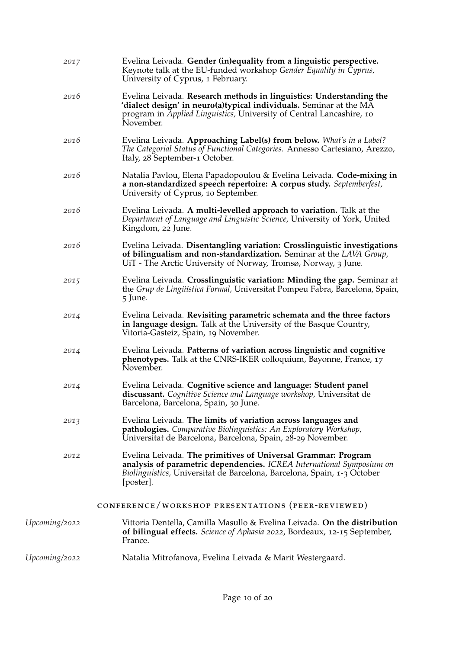| 2017          | Evelina Leivada. Gender (in)equality from a linguistic perspective.<br>Keynote talk at the EU-funded workshop Gender Equality in Cyprus,<br>University of Cyprus, 1 February.                                                                |
|---------------|----------------------------------------------------------------------------------------------------------------------------------------------------------------------------------------------------------------------------------------------|
| 2016          | Evelina Leivada. Research methods in linguistics: Understanding the<br>'dialect design' in neuro(a) typical individuals. Seminar at the $M\overline{A}$<br>program in Applied Linguistics, University of Central Lancashire, 10<br>November. |
| 2016          | Evelina Leivada. Approaching Label(s) from below. What's in a Label?<br>The Categorial Status of Functional Categories. Annesso Cartesiano, Arezzo,<br>Italy, 28 September-1 October.                                                        |
| 2016          | Natalia Pavlou, Elena Papadopoulou & Evelina Leivada. Code-mixing in<br>a non-standardized speech repertoire: A corpus study. Septemberfest,<br>University of Cyprus, 10 September.                                                          |
| 2016          | Evelina Leivada. A multi-levelled approach to variation. Talk at the<br>Department of Language and Linguistic Science, University of York, United<br>Kingdom, 22 June.                                                                       |
| 2016          | Evelina Leivada. Disentangling variation: Crosslinguistic investigations<br>of bilingualism and non-standardization. Seminar at the LAVA Group,<br>UiT - The Arctic University of Norway, Tromsø, Norway, 3 June.                            |
| 2015          | Evelina Leivada. Crosslinguistic variation: Minding the gap. Seminar at<br>the Grup de Lingüística Formal, Universitat Pompeu Fabra, Barcelona, Spain,<br>5 June.                                                                            |
| 2014          | Evelina Leivada. Revisiting parametric schemata and the three factors<br>in language design. Talk at the University of the Basque Country,<br>Vitoria-Gasteiz, Spain, 19 November.                                                           |
| 2014          | Evelina Leivada. Patterns of variation across linguistic and cognitive<br>phenotypes. Talk at the CNRS-IKER colloquium, Bayonne, France, 17<br>November.                                                                                     |
| 2014          | Evelina Leivada. Cognitive science and language: Student panel<br>discussant. Cognitive Science and Language workshop, Universitat de<br>Barcelona, Barcelona, Spain, 30 June.                                                               |
| 2013          | Evelina Leivada. The limits of variation across languages and<br>pathologies. Comparative Biolinguistics: An Exploratory Workshop,<br>Universitat de Barcelona, Barcelona, Spain, 28-29 November.                                            |
| 2012          | Evelina Leivada. The primitives of Universal Grammar: Program<br>analysis of parametric dependencies. ICREA International Symposium on<br>Biolinguistics, Universitat de Barcelona, Barcelona, Spain, 1-3 October<br>[poster].               |
|               | CONFERENCE/WORKSHOP PRESENTATIONS (PEER-REVIEWED)                                                                                                                                                                                            |
| Upcoming/2022 | Vittoria Dentella, Camilla Masullo & Evelina Leivada. On the distribution<br>of bilingual effects. Science of Aphasia 2022, Bordeaux, 12-15 September,<br>France.                                                                            |
| Upcoming/2022 | Natalia Mitrofanova, Evelina Leivada & Marit Westergaard.                                                                                                                                                                                    |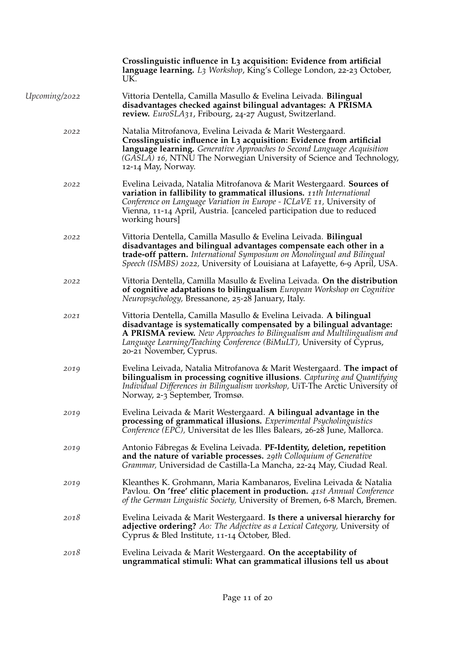|               | Crosslinguistic influence in L <sub>3</sub> acquisition: Evidence from artificial<br>language learning. L3 Workshop, King's College London, 22-23 October,<br>UK.                                                                                                                                                        |
|---------------|--------------------------------------------------------------------------------------------------------------------------------------------------------------------------------------------------------------------------------------------------------------------------------------------------------------------------|
| Upcoming/2022 | Vittoria Dentella, Camilla Masullo & Evelina Leivada. Bilingual<br>disadvantages checked against bilingual advantages: A PRISMA<br>review. EuroSLA31, Fribourg, 24-27 August, Switzerland.                                                                                                                               |
| 2022          | Natalia Mitrofanova, Evelina Leivada & Marit Westergaard.<br>Crosslinguistic influence in L3 acquisition: Evidence from artificial<br>language learning. Generative Approaches to Second Language Acquisition<br>(GASLA) 16, NTNU The Norwegian University of Science and Technology,<br>12-14 May, Norway.              |
| 2022          | Evelina Leivada, Natalia Mitrofanova & Marit Westergaard. Sources of<br>variation in fallibility to grammatical illusions. 11th International<br>Conference on Language Variation in Europe - ICLaVE 11, University of<br>Vienna, 11-14 April, Austria. [canceled participation due to reduced<br>working hours]         |
| 2022          | Vittoria Dentella, Camilla Masullo & Evelina Leivada. Bilingual<br>disadvantages and bilingual advantages compensate each other in a<br>trade-off pattern. International Symposium on Monolingual and Bilingual<br>Speech (ISMBS) 2022, University of Louisiana at Lafayette, 6-9 April, USA.                            |
| 2022          | Vittoria Dentella, Camilla Masullo & Evelina Leivada. On the distribution<br>of cognitive adaptations to bilingualism European Workshop on Cognitive<br>Neuropsychology, Bressanone, 25-28 January, Italy.                                                                                                               |
| 2021          | Vittoria Dentella, Camilla Masullo & Evelina Leivada. A bilingual<br>disadvantage is systematically compensated by a bilingual advantage:<br>A PRISMA review. New Approaches to Bilingualism and Multilingualism and<br>Language Learning/Teaching Conference (BiMuLT), University of Cyprus,<br>20-21 November, Cyprus. |
| 2019          | Evelina Leivada, Natalia Mitrofanova & Marit Westergaard. The impact of<br>bilingualism in processing cognitive illusions. Capturing and Quantifying<br>Individual Differences in Bilingualism workshop, UiT-The Arctic University of<br>Norway, 2-3 September, Tromsø.                                                  |
| 2019          | Evelina Leivada & Marit Westergaard. A bilingual advantage in the<br>processing of grammatical illusions. Experimental Psycholinguistics<br>Conference (EPC), Universitat de les Illes Balears, 26-28 June, Mallorca.                                                                                                    |
| 2019          | Antonio Fábregas & Evelina Leivada. PF-Identity, deletion, repetition<br>and the nature of variable processes. 29th Colloquium of Generative<br>Grammar, Universidad de Castilla-La Mancha, 22-24 May, Ciudad Real.                                                                                                      |
| 2019          | Kleanthes K. Grohmann, Maria Kambanaros, Evelina Leivada & Natalia<br>Pavlou. On 'free' clitic placement in production. 41st Annual Conference<br>of the German Linguistic Society, University of Bremen, 6-8 March, Bremen.                                                                                             |
| 2018          | Evelina Leivada & Marit Westergaard. Is there a universal hierarchy for<br>adjective ordering? Ao: The Adjective as a Lexical Category, University of<br>Cyprus & Bled Institute, 11-14 October, Bled.                                                                                                                   |
| 2018          | Evelina Leivada & Marit Westergaard. On the acceptability of<br>ungrammatical stimuli: What can grammatical illusions tell us about                                                                                                                                                                                      |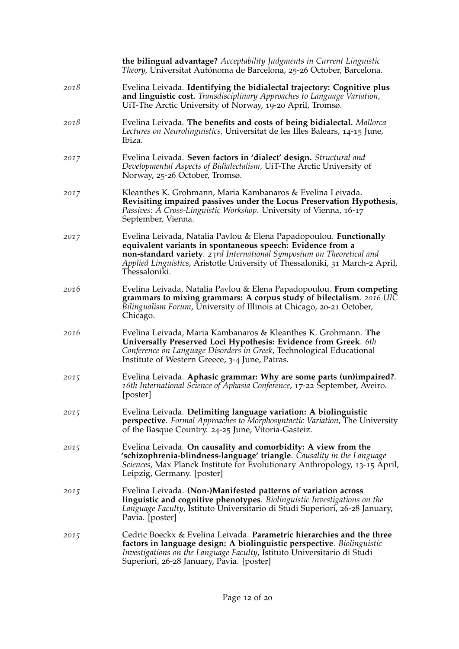|      | the bilingual advantage? Acceptability Judgments in Current Linguistic<br>Theory, Universitat Autónoma de Barcelona, 25-26 October, Barcelona.                                                                                                                                                             |
|------|------------------------------------------------------------------------------------------------------------------------------------------------------------------------------------------------------------------------------------------------------------------------------------------------------------|
| 2018 | Evelina Leivada. Identifying the bidialectal trajectory: Cognitive plus<br>and linguistic cost. Transdisciplinary Approaches to Language Variation,<br>UiT-The Arctic University of Norway, 19-20 April, Tromsø.                                                                                           |
| 2018 | Evelina Leivada. The benefits and costs of being bidialectal. Mallorca<br>Lectures on Neurolinguistics, Universitat de les Illes Balears, 14-15 June,<br>Ibiza.                                                                                                                                            |
| 2017 | Evelina Leivada. Seven factors in 'dialect' design. Structural and<br>Developmental Aspects of Bidialectalism, UiT-The Arctic University of<br>Norway, 25-26 October, Tromsø.                                                                                                                              |
| 2017 | Kleanthes K. Grohmann, Maria Kambanaros & Evelina Leivada.<br>Revisiting impaired passives under the Locus Preservation Hypothesis,<br>Passives: A Cross-Linguistic Workshop. University of Vienna, 16-17<br>September, Vienna.                                                                            |
| 2017 | Evelina Leivada, Natalia Pavlou & Elena Papadopoulou. Functionally<br>equivalent variants in spontaneous speech: Evidence from a<br>non-standard variety. 23rd International Symposium on Theoretical and<br>Applied Linguistics, Aristotle University of Thessaloniki, 31 March-2 April,<br>Thessaloniki. |
| 2016 | Evelina Leivada, Natalia Pavlou & Elena Papadopoulou. From competing<br>grammars to mixing grammars: A corpus study of bilectalism. 2016 UIC<br>Bilingualism Forum, University of Illinois at Chicago, 20-21 October,<br>Chicago.                                                                          |
| 2016 | Evelina Leivada, Maria Kambanaros & Kleanthes K. Grohmann. The<br>Universally Preserved Loci Hypothesis: Evidence from Greek. 6th<br>Conference on Language Disorders in Greek, Technological Educational<br>Institute of Western Greece, 3-4 June, Patras.                                                |
| 2015 | Evelina Leivada. Aphasic grammar: Why are some parts (un)impaired?.<br>16th International Science of Aphasia Conference, 17-22 September, Aveiro.<br>[poster]                                                                                                                                              |
| 2015 | Evelina Leivada. Delimiting language variation: A biolinguistic<br>perspective. Formal Approaches to Morphosyntactic Variation, The University<br>of the Basque Country. 24-25 June, Vitoria-Gasteiz.                                                                                                      |
| 2015 | Evelina Leivada. On causality and comorbidity: A view from the<br>'schizophrenia-blindness-language' triangle. Causality in the Language<br>Sciences, Max Planck Institute for Evolutionary Anthropology, 13-15 April,<br>Leipzig, Germany. [poster]                                                       |
| 2015 | Evelina Leivada. (Non-)Manifested patterns of variation across<br>linguistic and cognitive phenotypes. Biolinguistic Investigations on the<br>Language Faculty, Istituto Universitario di Studi Superiori, 26-28 January,<br>Pavia. [poster]                                                               |
| 2015 | Cedric Boeckx & Evelina Leivada. Parametric hierarchies and the three<br>factors in language design: A biolinguistic perspective. Biolinguistic<br>Investigations on the Language Faculty, Istituto Universitario di Studi<br>Superiori, 26-28 January, Pavia. [poster]                                    |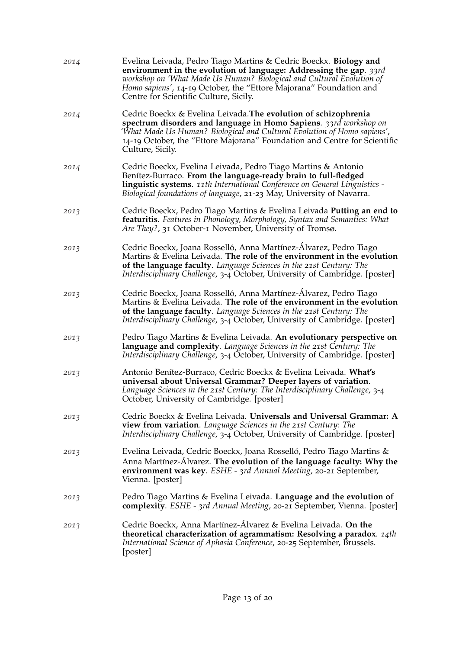| 2014 | Evelina Leivada, Pedro Tiago Martins & Cedric Boeckx. Biology and<br>environment in the evolution of language: Addressing the gap. 33rd<br>workshop on 'What Made Us Human? Biological and Cultural Evolution of<br>Homo sapiens', 14-19 October, the "Ettore Majorana" Foundation and<br>Centre for Scientific Culture, Sicily. |
|------|----------------------------------------------------------------------------------------------------------------------------------------------------------------------------------------------------------------------------------------------------------------------------------------------------------------------------------|
| 2014 | Cedric Boeckx & Evelina Leivada. The evolution of schizophrenia<br>spectrum disorders and language in Homo Sapiens. 33rd workshop on<br>'What Made Us Human? Biological and Cultural Evolution of Homo sapiens',<br>14-19 October, the "Ettore Majorana" Foundation and Centre for Scientific<br>Culture, Sicily.                |
| 2014 | Cedric Boeckx, Evelina Leivada, Pedro Tiago Martins & Antonio<br>Benítez-Burraco. From the language-ready brain to full-fledged<br>linguistic systems. 11th International Conference on General Linguistics -<br>Biological foundations of language, 21-23 May, University of Navarra.                                           |
| 2013 | Cedric Boeckx, Pedro Tiago Martins & Evelina Leivada Putting an end to<br>featuritis. Features in Phonology, Morphology, Syntax and Semantics: What<br>Are They?, 31 October-1 November, University of Tromsø.                                                                                                                   |
| 2013 | Cedric Boeckx, Joana Rosselló, Anna Martínez-Álvarez, Pedro Tiago<br>Martins & Evelina Leivada. The role of the environment in the evolution<br>of the language faculty. Language Sciences in the 21st Century: The<br>Interdisciplinary Challenge, 3-4 October, University of Cambridge. [poster]                               |
| 2013 | Cedric Boeckx, Joana Rosselló, Anna Martínez-Álvarez, Pedro Tiago<br>Martins & Evelina Leivada. The role of the environment in the evolution<br>of the language faculty. Language Sciences in the 21st Century: The<br>Interdisciplinary Challenge, 3-4 October, University of Cambridge. [poster]                               |
| 2013 | Pedro Tiago Martins & Evelina Leivada. An evolutionary perspective on<br>language and complexity. Language Sciences in the 21st Century: The<br>Interdisciplinary Challenge, 3-4 October, University of Cambridge. [poster]                                                                                                      |
| 2013 | Antonio Benítez-Burraco, Cedric Boeckx & Evelina Leivada. What's<br>universal about Universal Grammar? Deeper layers of variation.<br>Language Sciences in the 21st Century: The Interdisciplinary Challenge, 3-4<br>October, University of Cambridge. [poster]                                                                  |
| 2013 | Cedric Boeckx & Evelina Leivada. Universals and Universal Grammar: A<br>view from variation. Language Sciences in the 21st Century: The<br>Interdisciplinary Challenge, 3-4 October, University of Cambridge. [poster]                                                                                                           |
| 2013 | Evelina Leivada, Cedric Boeckx, Joana Rosselló, Pedro Tiago Martins &<br>Anna Martínez-Alvarez. The evolution of the language faculty: Why the<br>environment was key. ESHE - 3rd Annual Meeting, 20-21 September,<br>Vienna. [poster]                                                                                           |
| 2013 | Pedro Tiago Martins & Evelina Leivada. Language and the evolution of<br>complexity. ESHE - 3rd Annual Meeting, 20-21 September, Vienna. [poster]                                                                                                                                                                                 |
| 2013 | Cedric Boeckx, Anna Martínez-Álvarez & Evelina Leivada. On the<br>theoretical characterization of agrammatism: Resolving a paradox. $14$ th<br>International Science of Aphasia Conference, 20-25 September, Brussels.<br>[poster]                                                                                               |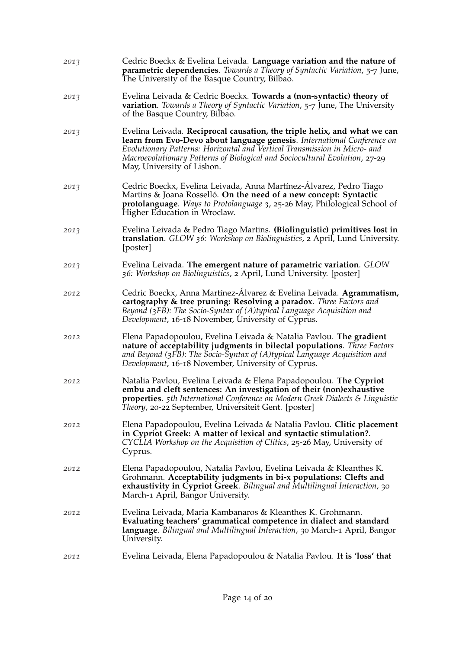| 2013 | Cedric Boeckx & Evelina Leivada. Language variation and the nature of<br><b>parametric dependencies</b> . Towards a Theory of Syntactic Variation, 5-7 June,<br>The University of the Basque Country, Bilbao.                                                                                                                                 |
|------|-----------------------------------------------------------------------------------------------------------------------------------------------------------------------------------------------------------------------------------------------------------------------------------------------------------------------------------------------|
| 2013 | Evelina Leivada & Cedric Boeckx. Towards a (non-syntactic) theory of<br><b>variation</b> . Towards a Theory of Syntactic Variation, 5-7 June, The University<br>of the Basque Country, Bilbao.                                                                                                                                                |
| 2013 | Evelina Leivada. Reciprocal causation, the triple helix, and what we can<br>learn from Evo-Devo about language genesis. International Conference on<br>Evolutionary Patterns: Horizontal and Vertical Transmission in Micro- and<br>Macroevolutionary Patterns of Biological and Sociocultural Evolution, 27-29<br>May, University of Lisbon. |
| 2013 | Cedric Boeckx, Evelina Leivada, Anna Martínez-Alvarez, Pedro Tiago<br>Martins & Joana Rosselló. On the need of a new concept: Syntactic<br>protolanguage. Ways to Protolanguage 3, 25-26 May, Philological School of<br>Higher Education in Wroclaw.                                                                                          |
| 2013 | Evelina Leivada & Pedro Tiago Martins. (Biolinguistic) primitives lost in<br>translation. GLOW 36: Workshop on Biolinguistics, 2 April, Lund University.<br>[poster]                                                                                                                                                                          |
| 2013 | Evelina Leivada. The emergent nature of parametric variation. GLOW<br>36: Workshop on Biolinguistics, 2 April, Lund University. [poster]                                                                                                                                                                                                      |
| 2012 | Cedric Boeckx, Anna Martínez-Álvarez & Evelina Leivada. Agrammatism,<br>cartography & tree pruning: Resolving a paradox. Three Factors and<br>Beyond $(\overline{3}FB)$ : The Socio-Syntax of $(A)$ typical Language Acquisition and<br>Development, 16-18 November, University of Cyprus.                                                    |
| 2012 | Elena Papadopoulou, Evelina Leivada & Natalia Pavlou. The gradient<br>nature of acceptability judgments in bilectal populations. Three Factors<br>and Beyond (3FB): The Socio-Syntax of (A)typical Language Acquisition and<br>Development, 16-18 November, University of Cyprus.                                                             |
| 2012 | Natalia Pavlou, Evelina Leivada & Elena Papadopoulou. The Cypriot<br>embu and cleft sentences: An investigation of their (non) exhaustive<br><b>properties.</b> 5th International Conference on Modern Greek Dialects & Linguistic<br>Theory, 20-22 September, Universiteit Gent. [poster]                                                    |
| 2012 | Elena Papadopoulou, Evelina Leivada & Natalia Pavlou. Clitic placement<br>in Cypriot Greek: A matter of lexical and syntactic stimulation?.<br>CYCLIA Workshop on the Acquisition of Clitics, 25-26 May, University of<br>Cyprus.                                                                                                             |
| 2012 | Elena Papadopoulou, Natalia Pavlou, Evelina Leivada & Kleanthes K.<br>Grohmann. Acceptability judgments in bi-x populations: Clefts and<br>exhaustivity in Cypriot Greek. Bilingual and Multilingual Interaction, 30<br>March-1 April, Bangor University.                                                                                     |
| 2012 | Evelina Leivada, Maria Kambanaros & Kleanthes K. Grohmann.<br>Evaluating teachers' grammatical competence in dialect and standard<br>language. Bilingual and Multilingual Interaction, 30 March-1 April, Bangor<br>University.                                                                                                                |
| 2011 | Evelina Leivada, Elena Papadopoulou & Natalia Pavlou. It is 'loss' that                                                                                                                                                                                                                                                                       |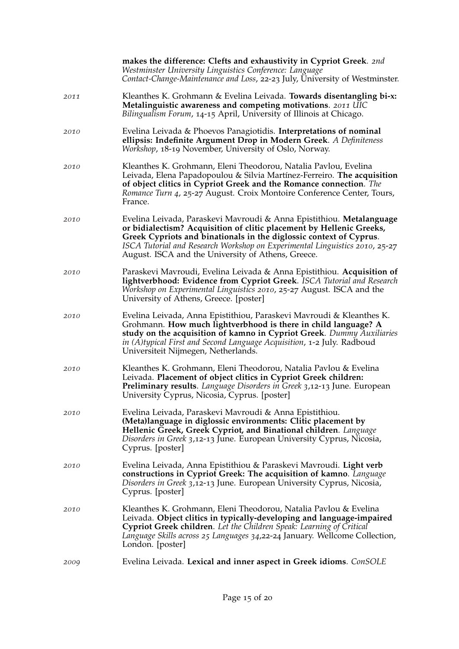|      | makes the difference: Clefts and exhaustivity in Cypriot Greek. 2nd<br>Westminster University Linguistics Conference: Language<br>Contact-Change-Maintenance and Loss, 22-23 July, University of Westminster.                                                                                                                                           |
|------|---------------------------------------------------------------------------------------------------------------------------------------------------------------------------------------------------------------------------------------------------------------------------------------------------------------------------------------------------------|
| 2011 | Kleanthes K. Grohmann & Evelina Leivada. Towards disentangling bi-x:<br>Metalinguistic awareness and competing motivations. 2011 UIC<br>Bilingualism Forum, 14-15 April, University of Illinois at Chicago.                                                                                                                                             |
| 2010 | Evelina Leivada & Phoevos Panagiotidis. Interpretations of nominal<br>ellipsis: Indefinite Argument Drop in Modern Greek. A Definiteness<br>Workshop, 18-19 November, University of Oslo, Norway.                                                                                                                                                       |
| 2010 | Kleanthes K. Grohmann, Eleni Theodorou, Natalia Pavlou, Evelina<br>Leivada, Elena Papadopoulou & Silvia Martínez-Ferreiro. The acquisition<br>of object clitics in Cypriot Greek and the Romance connection. The<br>Romance Turn 4, 25-27 August. Croix Montoire Conference Center, Tours,<br>France.                                                   |
| 2010 | Evelina Leivada, Paraskevi Mavroudi & Anna Epistithiou. Metalanguage<br>or bidialectism? Acquisition of clitic placement by Hellenic Greeks,<br>Greek Cypriots and binationals in the diglossic context of Cyprus.<br>ISCA Tutorial and Research Workshop on Experimental Linguistics 2010, 25-27<br>August. ISCA and the University of Athens, Greece. |
| 2010 | Paraskevi Mavroudi, Evelina Leivada & Anna Epistithiou. Acquisition of<br>lightverbhood: Evidence from Cypriot Greek. ISCA Tutorial and Research<br>Workshop on Experimental Linguistics 2010, 25-27 August. ISCA and the<br>University of Athens, Greece. [poster]                                                                                     |
| 2010 | Evelina Leivada, Anna Epistithiou, Paraskevi Mavroudi & Kleanthes K.<br>Grohmann. How much lightverbhood is there in child language? A<br>study on the acquisition of kamno in Cypriot Greek. Dummy Auxiliaries<br>in (A)typical First and Second Language Acquisition, 1-2 July. Radboud<br>Universiteit Nijmegen, Netherlands.                        |
| 2010 | Kleanthes K. Grohmann, Eleni Theodorou, Natalia Pavlou & Evelina<br>Leivada. Placement of object clitics in Cypriot Greek children:<br>Preliminary results. Language Disorders in Greek 3,12-13 June. European<br>University Cyprus, Nicosia, Cyprus. [poster]                                                                                          |
| 2010 | Evelina Leivada, Paraskevi Mavroudi & Anna Epistithiou.<br>(Meta)language in diglossic environments: Clitic placement by<br>Hellenic Greek, Greek Cypriot, and Binational children. Language<br>Disorders in Greek 3,12-13 June. European University Cyprus, Nicosia,<br>Cyprus. [poster]                                                               |
| 2010 | Evelina Leivada, Anna Epistithiou & Paraskevi Mavroudi. Light verb<br>constructions in Cypriot Greek: The acquisition of kamno. Language<br>Disorders in Greek 3,12-13 June. European University Cyprus, Nicosia,<br>Cyprus. [poster]                                                                                                                   |
| 2010 | Kleanthes K. Grohmann, Eleni Theodorou, Natalia Pavlou & Evelina<br>Leivada. Object clitics in typically-developing and language-impaired<br>Cypriot Greek children. Let the Children Speak: Learning of Critical<br>Language Skills across 25 Languages 34,22-24 January. Wellcome Collection,<br>London. [poster]                                     |
| 2009 | Evelina Leivada. Lexical and inner aspect in Greek idioms. ConSOLE                                                                                                                                                                                                                                                                                      |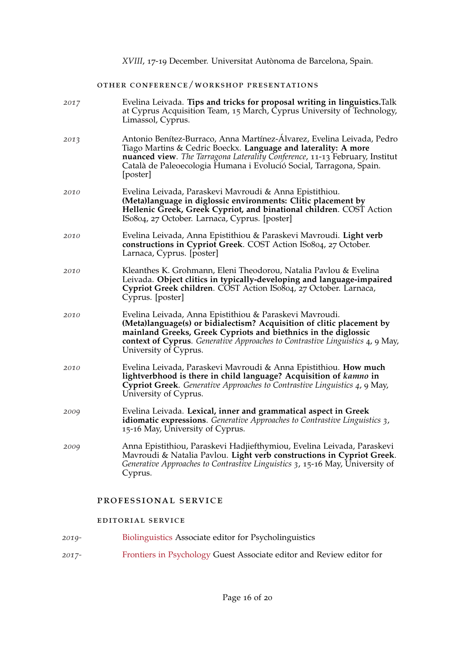### other conference/workshop presentations

| 2017 | Evelina Leivada. Tips and tricks for proposal writing in linguistics. Talk<br>at Cyprus Acquisition Team, 15 March, Cyprus University of Technology,<br>Limassol, Cyprus.                                                                                                                                    |
|------|--------------------------------------------------------------------------------------------------------------------------------------------------------------------------------------------------------------------------------------------------------------------------------------------------------------|
| 2013 | Antonio Benítez-Burraco, Anna Martínez-Álvarez, Evelina Leivada, Pedro<br>Tiago Martins & Cedric Boeckx. Language and laterality: A more<br>nuanced view. The Tarragona Laterality Conference, 11-13 February, Institut<br>Català de Paleoecologia Humana i Evolució Social, Tarragona, Spain.<br>[poster]   |
| 2010 | Evelina Leivada, Paraskevi Mavroudi & Anna Epistithiou.<br>(Meta)language in diglossic environments: Clitic placement by<br>Hellenic Greek, Greek Cypriot, and binational children. COST Action<br>ISo804, 27 October. Larnaca, Cyprus. [poster]                                                             |
| 2010 | Evelina Leivada, Anna Epistithiou & Paraskevi Mavroudi. Light verb<br>constructions in Cypriot Greek. COST Action ISo804, 27 October.<br>Larnaca, Cyprus. [poster]                                                                                                                                           |
| 2010 | Kleanthes K. Grohmann, Eleni Theodorou, Natalia Pavlou & Evelina<br>Leivada. Object clitics in typically-developing and language-impaired<br>Cypriot Greek children. COST Action ISo804, 27 October. Larnaca,<br>Cyprus. [poster]                                                                            |
| 2010 | Evelina Leivada, Anna Epistithiou & Paraskevi Mavroudi.<br>(Meta)language(s) or bidialectism? Acquisition of clitic placement by<br>mainland Greeks, Greek Cypriots and biethnics in the diglossic<br>context of Cyprus. Generative Approaches to Contrastive Linguistics 4, 9 May,<br>University of Cyprus. |
| 2010 | Evelina Leivada, Paraskevi Mavroudi & Anna Epistithiou. How much<br>lightverbhood is there in child language? Acquisition of kamno in<br>Cypriot Greek. Generative Approaches to Contrastive Linguistics 4, 9 May,<br>University of Cyprus.                                                                  |
| 2009 | Evelina Leivada. Lexical, inner and grammatical aspect in Greek<br><b>idiomatic expressions</b> . Generative Approaches to Contrastive Linguistics 3,<br>15-16 May, University of Cyprus.                                                                                                                    |
| 2009 | Anna Epistithiou, Paraskevi Hadjiefthymiou, Evelina Leivada, Paraskevi<br>Mavroudi & Natalia Pavlou. Light verb constructions in Cypriot Greek.<br>Generative Approaches to Contrastive Linguistics 3, 15-16 May, University of<br>Cyprus.                                                                   |

### professional service

### editorial service

- *2019-* [Biolinguistics](http://www.biolinguistics.eu/) Associate editor for Psycholinguistics
- *2017-* [Frontiers in Psychology](https://www.frontiersin.org/journals/psychology) Guest Associate editor and Review editor for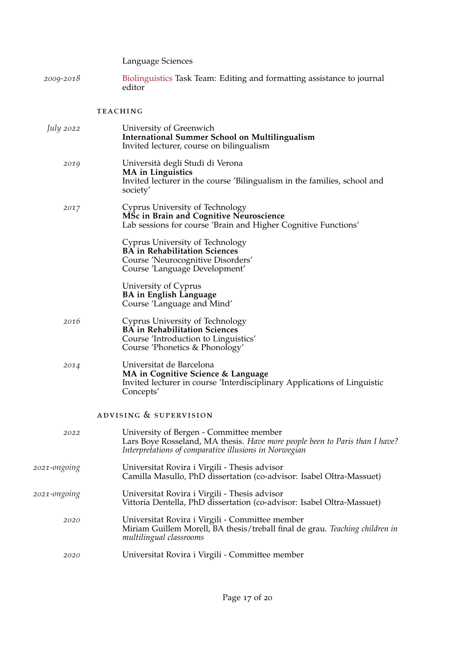Language Sciences

*2009-2018* [Biolinguistics](http://www.biolinguistics.eu/) Task Team: Editing and formatting assistance to journal editor

### **TEACHING**

| <i>July</i> 2022 | University of Greenwich<br><b>International Summer School on Multilingualism</b><br>Invited lecturer, course on bilingualism                                                    |
|------------------|---------------------------------------------------------------------------------------------------------------------------------------------------------------------------------|
| 2019             | Università degli Studi di Verona<br><b>MA</b> in Linguistics<br>Invited lecturer in the course 'Bilingualism in the families, school and<br>society'                            |
| 2017             | Cyprus University of Technology<br>MSc in Brain and Cognitive Neuroscience<br>Lab sessions for course 'Brain and Higher Cognitive Functions'                                    |
|                  | Cyprus University of Technology<br><b>BA</b> in Rehabilitation Sciences<br>Course 'Neurocognitive Disorders'<br>Course 'Language Development'                                   |
|                  | University of Cyprus<br><b>BA</b> in English Language<br>Course 'Language and Mind'                                                                                             |
| 2016             | Cyprus University of Technology<br><b>BA</b> in Rehabilitation Sciences<br>Course 'Introduction to Linguistics'<br>Course 'Phonetics & Phonology'                               |
| 2014             | Universitat de Barcelona<br>MA in Cognitive Science & Language<br>Invited lecturer in course 'Interdisciplinary Applications of Linguistic<br>Concepts'                         |
|                  | ADVISING & SUPERVISION                                                                                                                                                          |
| 2022             | University of Bergen - Committee member<br>Lars Boye Rosseland, MA thesis. Have more people been to Paris than I have?<br>Interpretations of comparative illusions in Norwegian |
| 2021-ongoing     | Universitat Rovira i Virgili - Thesis advisor<br>Camilla Masullo, PhD dissertation (co-advisor: Isabel Oltra-Massuet)                                                           |
| 2021-ongoing     | Universitat Rovira i Virgili - Thesis advisor<br>Vittoria Dentella, PhD dissertation (co-advisor: Isabel Oltra-Massuet)                                                         |
| 2020             | Universitat Rovira i Virgili - Committee member<br>Miriam Guillem Morell, BA thesis/treball final de grau. Teaching children in<br>multilingual classrooms                      |
| 2020             | Universitat Rovira i Virgili - Committee member                                                                                                                                 |
|                  |                                                                                                                                                                                 |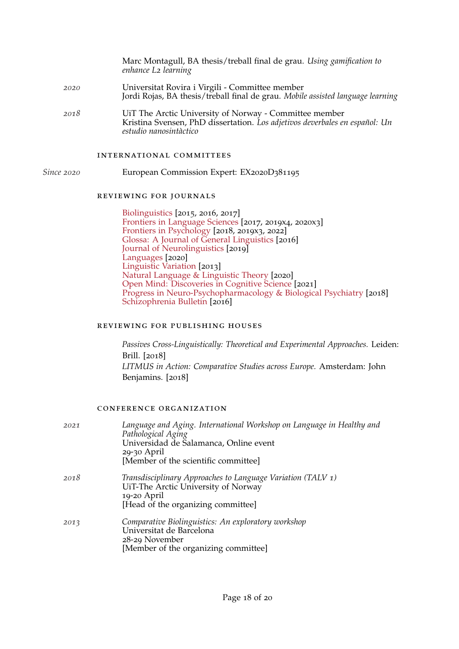|      | Marc Montagull, BA thesis/treball final de grau. Using gamification to<br>enhance L2 learning                                                                   |
|------|-----------------------------------------------------------------------------------------------------------------------------------------------------------------|
| 2020 | Universitat Rovira i Virgili - Committee member<br>Jordi Rojas, BA thesis/treball final de grau. Mobile assisted language learning                              |
| 2018 | UiT The Arctic University of Norway - Committee member<br>Kristina Svensen, PhD dissertation. Los adjetivos deverbales en español: Un<br>estudio nanosintàctico |

#### international committees

*Since 2020* European Commission Expert: EX2020D381195

#### reviewing for journals

[Biolinguistics](http://www.biolinguistics.eu/index.php/biolinguistics) [2015, 2016, 2017] [Frontiers in Language Sciences](https://www.frontiersin.org/journals/psychology/sections/language-sciences) [2017, 2019x4, 2020x3] [Frontiers in Psychology](https://www.frontiersin.org/journals/psychology) [2018, 2019x3, 2022] [Glossa: A Journal of General Linguistics](https://www.glossa-journal.org/) [2016] [Journal of Neurolinguistics](https://www.journals.elsevier.com/journal-of-neurolinguistics) [2019] [Languages](https://www.mdpi.com/journal/languages?authAll=true) [2020] [Linguistic Variation](https://benjamins.com/catalog/journals/lv) [2013] [Natural Language & Linguistic Theory](https://link.springer.com/journal/11049) [2020] [Open Mind: Discoveries in Cognitive Science](https://direct.mit.edu/opmi) [2021] [Progress in Neuro-Psychopharmacology & Biological Psychiatry](https://www.journals.elsevier.com/progress-in-neuro-psychopharmacology-and-biological-psychiatry/) [2018] [Schizophrenia Bulletin](https://academic.oup.com/schizophreniabulletin) [2016]

### reviewing for publishing houses

*Passives Cross-Linguistically: Theoretical and Experimental Approaches.* Leiden: Brill. [2018] *LITMUS in Action: Comparative Studies across Europe.* Amsterdam: John Benjamins. [2018]

#### conference organization

| 2021 | Language and Aging. International Workshop on Language in Healthy and<br>Pathological Aging<br>Universidad de Salamanca, Online event<br>29-30 April<br>[Member of the scientific committee] |
|------|----------------------------------------------------------------------------------------------------------------------------------------------------------------------------------------------|
| 2018 | Transdisciplinary Approaches to Language Variation (TALV 1)<br>UiT-The Arctic University of Norway<br>19-20 April<br>[Head of the organizing committee]                                      |
| 2013 | Comparative Biolinguistics: An exploratory workshop<br>Universitat de Barcelona<br>28-29 November<br>[Member of the organizing committee]                                                    |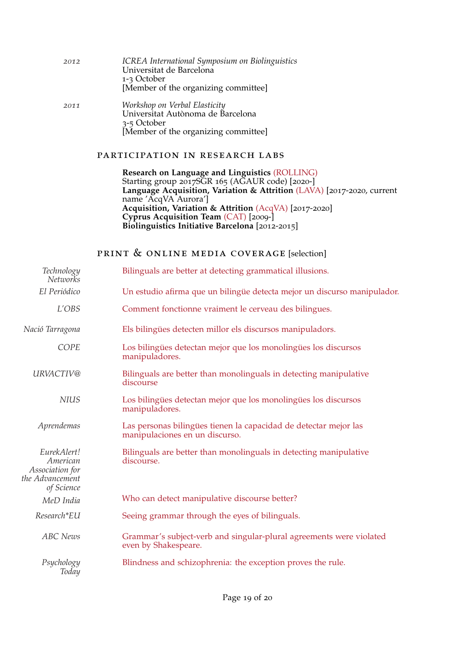| 2012 | ICREA International Symposium on Biolinguistics<br>Universitat de Barcelona<br>1-3 October<br>[Member of the organizing committee] |
|------|------------------------------------------------------------------------------------------------------------------------------------|
| 2011 | Workshop on Verbal Elasticity<br>Universitat Autònoma de Barcelona                                                                 |

3-5 October

### participation in research labs

[Member of the organizing committee]

**Research on Language and Linguistics** [\(ROLLING\)](http://www.urv.cat/html/grupsrecerca/reconeguts/general-003425.php) Starting group 2017SGR 165 (AGAUR code) [2020-] **Language Acquisition, Variation & Attrition** [\(LAVA\)](http://site.uit.no/lava/) [2017-2020, current name 'AcqVA Aurora'] **Acquisition, Variation & Attrition** [\(AcqVA\)](http://site.uit.no/acqva/) [2017-2020] **Cyprus Acquisition Team** [\(CAT\)](http://www.research.biolinguistics.eu/CAT/) [2009-] **Biolinguistics Initiative Barcelona** [2012-2015]

### print & online media coverage [selection]

| Technology<br><b>Networks</b>                                               | Bilinguals are better at detecting grammatical illusions.                                          |
|-----------------------------------------------------------------------------|----------------------------------------------------------------------------------------------------|
| El Periódico                                                                | Un estudio afirma que un bilingüe detecta mejor un discurso manipulador.                           |
| L'OBS                                                                       | Comment fonctionne vraiment le cerveau des bilingues.                                              |
| Nació Tarragona                                                             | Els bilingües detecten millor els discursos manipuladors.                                          |
| COPE                                                                        | Los bilingües detectan mejor que los monolingües los discursos<br>manipuladores.                   |
| URVACTIV@                                                                   | Bilinguals are better than monolinguals in detecting manipulative<br>discourse                     |
| <b>NIUS</b>                                                                 | Los bilingües detectan mejor que los monolingües los discursos<br>manipuladores.                   |
| Aprendemas                                                                  | Las personas bilingües tienen la capacidad de detectar mejor las<br>manipulaciones en un discurso. |
| EurekAlert!<br>American<br>Association for<br>the Advancement<br>of Science | Bilinguals are better than monolinguals in detecting manipulative<br>discourse.                    |
| MeD India                                                                   | Who can detect manipulative discourse better?                                                      |
| Research*EU                                                                 | Seeing grammar through the eyes of bilinguals.                                                     |
| <b>ABC</b> News                                                             | Grammar's subject-verb and singular-plural agreements were violated<br>even by Shakespeare.        |
| Psychology<br>Today                                                         | Blindness and schizophrenia: the exception proves the rule.                                        |